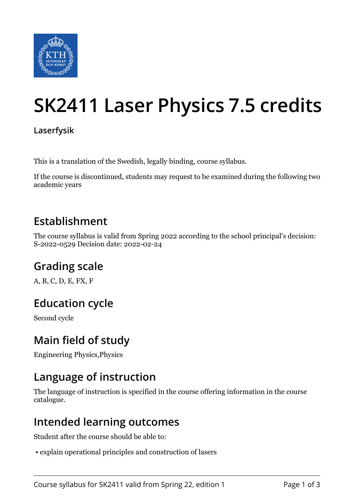

# **SK2411 Laser Physics 7.5 credits**

**Laserfysik**

This is a translation of the Swedish, legally binding, course syllabus.

If the course is discontinued, students may request to be examined during the following two academic years

## **Establishment**

The course syllabus is valid from Spring 2022 according to the school principal's decision: S-2022-0529 Decision date: 2022-02-24

# **Grading scale**

A, B, C, D, E, FX, F

## **Education cycle**

Second cycle

## **Main field of study**

Engineering Physics,Physics

## **Language of instruction**

The language of instruction is specified in the course offering information in the course catalogue.

## **Intended learning outcomes**

Student after the course should be able to:

• explain operational principles and construction of lasers